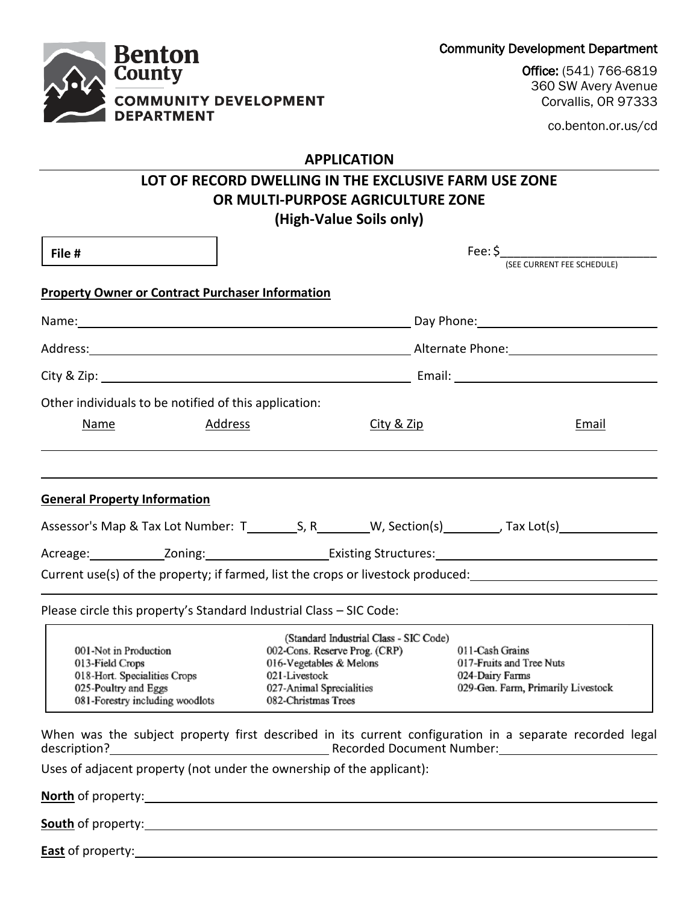Community Development Department



co.benton.or.us/cd

## **APPLICATION**

# **LOT OF RECORD DWELLING IN THE EXCLUSIVE FARM USE ZONE OR MULTI-PURPOSE AGRICULTURE ZONE (High-Value Soils only)**

| File #                                                                                                                              |                                                                                                                                                                        | Fee: \$<br>(SEE CURRENT FEE SCHEDULE) |                                                                                                                |  |
|-------------------------------------------------------------------------------------------------------------------------------------|------------------------------------------------------------------------------------------------------------------------------------------------------------------------|---------------------------------------|----------------------------------------------------------------------------------------------------------------|--|
| <b>Property Owner or Contract Purchaser Information</b>                                                                             |                                                                                                                                                                        |                                       |                                                                                                                |  |
|                                                                                                                                     |                                                                                                                                                                        |                                       |                                                                                                                |  |
|                                                                                                                                     |                                                                                                                                                                        |                                       |                                                                                                                |  |
|                                                                                                                                     |                                                                                                                                                                        |                                       |                                                                                                                |  |
| Other individuals to be notified of this application:                                                                               |                                                                                                                                                                        |                                       |                                                                                                                |  |
| <b>Name</b><br><u>Address</u>                                                                                                       |                                                                                                                                                                        | City & Zip                            | Email                                                                                                          |  |
| <b>General Property Information</b>                                                                                                 |                                                                                                                                                                        |                                       |                                                                                                                |  |
|                                                                                                                                     |                                                                                                                                                                        |                                       | Acreage: _______________Zoning: ________________________Existing Structures: _________________________________ |  |
|                                                                                                                                     |                                                                                                                                                                        |                                       | Current use(s) of the property; if farmed, list the crops or livestock produced:<br>                           |  |
| Please circle this property's Standard Industrial Class - SIC Code:                                                                 |                                                                                                                                                                        |                                       |                                                                                                                |  |
| 001-Not in Production<br>013-Field Crops<br>018-Hort. Specialities Crops<br>025-Poultry and Eggs<br>081-Forestry including woodlots | (Standard Industrial Class - SIC Code)<br>002-Cons. Reserve Prog. (CRP)<br>016-Vegetables & Melons<br>021-Livestock<br>027-Animal Sprecialities<br>082-Christmas Trees |                                       | 011-Cash Grains<br>017-Fruits and Tree Nuts<br>024-Dairy Farms<br>029-Gen. Farm, Primarily Livestock           |  |
|                                                                                                                                     |                                                                                                                                                                        |                                       | When was the subject property first described in its current configuration in a separate recorded legal        |  |
| Uses of adjacent property (not under the ownership of the applicant):                                                               |                                                                                                                                                                        |                                       |                                                                                                                |  |
| North of property: <u>Alexander State of Alexander State of Alexander State of Alexander State of Alexander State of</u>            |                                                                                                                                                                        |                                       |                                                                                                                |  |
|                                                                                                                                     |                                                                                                                                                                        |                                       |                                                                                                                |  |
|                                                                                                                                     |                                                                                                                                                                        |                                       |                                                                                                                |  |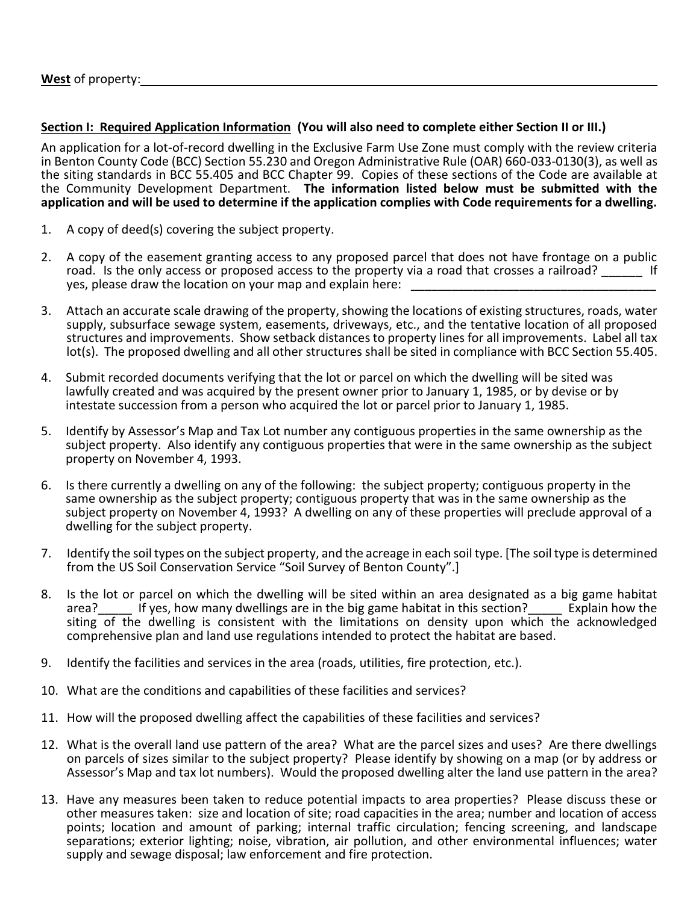### **Section I: Required Application Information (You will also need to complete either Section II or III.)**

An application for a lot-of-record dwelling in the Exclusive Farm Use Zone must comply with the review criteria in Benton County Code (BCC) Section 55.230 and Oregon Administrative Rule (OAR) 660-033-0130(3), as well as the siting standards in BCC 55.405 and BCC Chapter 99. Copies of these sections of the Code are available at the Community Development Department. **The information listed below must be submitted with the application and will be used to determine if the application complies with Code requirements for a dwelling.**

- 1. A copy of deed(s) covering the subject property.
- 2. A copy of the easement granting access to any proposed parcel that does not have frontage on a public road. Is the only access or proposed access to the property via a road that crosses a railroad? \_\_\_\_\_\_\_ If yes, please draw the location on your map and explain here:
- 3. Attach an accurate scale drawing of the property, showing the locations of existing structures, roads, water supply, subsurface sewage system, easements, driveways, etc., and the tentative location of all proposed structures and improvements. Show setback distances to property lines for all improvements. Label all tax lot(s). The proposed dwelling and all other structures shall be sited in compliance with BCC Section 55.405.
- 4. Submit recorded documents verifying that the lot or parcel on which the dwelling will be sited was lawfully created and was acquired by the present owner prior to January 1, 1985, or by devise or by intestate succession from a person who acquired the lot or parcel prior to January 1, 1985.
- 5. Identify by Assessor's Map and Tax Lot number any contiguous properties in the same ownership as the subject property. Also identify any contiguous properties that were in the same ownership as the subject property on November 4, 1993.
- 6. Is there currently a dwelling on any of the following: the subject property; contiguous property in the same ownership as the subject property; contiguous property that was in the same ownership as the subject property on November 4, 1993? A dwelling on any of these properties will preclude approval of a dwelling for the subject property.
- 7. Identify the soil types on the subject property, and the acreage in each soil type. [The soil type is determined from the US Soil Conservation Service "Soil Survey of Benton County".]
- 8. Is the lot or parcel on which the dwelling will be sited within an area designated as a big game habitat area? If yes, how many dwellings are in the big game habitat in this section? Explain how the If ves. how many dwellings are in the big game habitat in this section?  $\qquad \qquad$  Explain how the siting of the dwelling is consistent with the limitations on density upon which the acknowledged comprehensive plan and land use regulations intended to protect the habitat are based.
- 9. Identify the facilities and services in the area (roads, utilities, fire protection, etc.).
- 10. What are the conditions and capabilities of these facilities and services?
- 11. How will the proposed dwelling affect the capabilities of these facilities and services?
- 12. What is the overall land use pattern of the area? What are the parcel sizes and uses? Are there dwellings on parcels of sizes similar to the subject property? Please identify by showing on a map (or by address or Assessor's Map and tax lot numbers). Would the proposed dwelling alter the land use pattern in the area?
- 13. Have any measures been taken to reduce potential impacts to area properties? Please discuss these or other measures taken: size and location of site; road capacities in the area; number and location of access points; location and amount of parking; internal traffic circulation; fencing screening, and landscape separations; exterior lighting; noise, vibration, air pollution, and other environmental influences; water supply and sewage disposal; law enforcement and fire protection.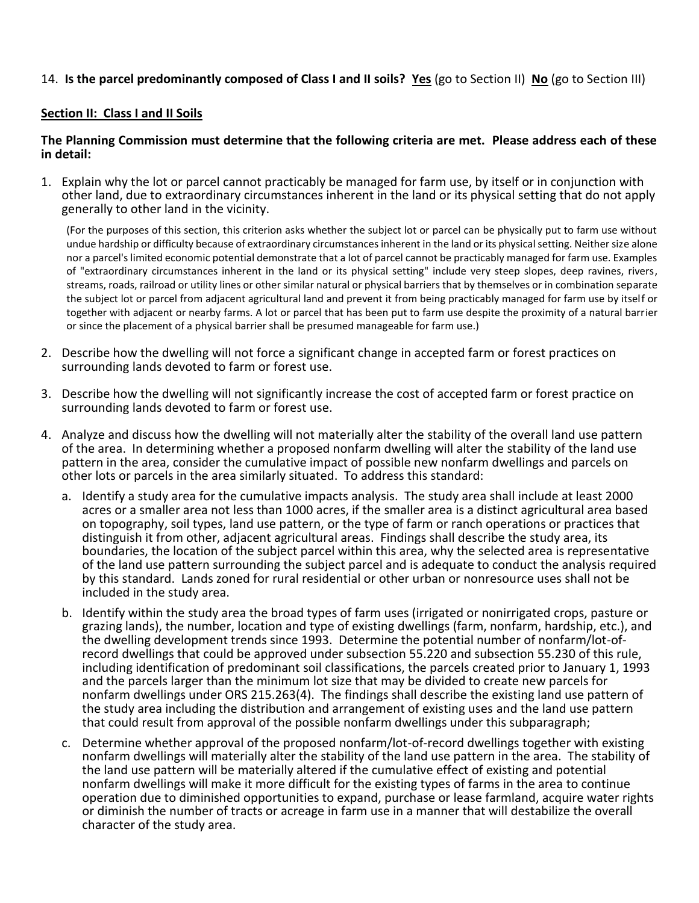## 14. **Is the parcel predominantly composed of Class I and II soils? Yes** (go to Section II) **No** (go to Section III)

#### **Section II: Class I and II Soils**

#### **The Planning Commission must determine that the following criteria are met. Please address each of these in detail:**

1. Explain why the lot or parcel cannot practicably be managed for farm use, by itself or in conjunction with other land, due to extraordinary circumstances inherent in the land or its physical setting that do not apply generally to other land in the vicinity.

(For the purposes of this section, this criterion asks whether the subject lot or parcel can be physically put to farm use without undue hardship or difficulty because of extraordinary circumstances inherent in the land or its physical setting. Neither size alone nor a parcel's limited economic potential demonstrate that a lot of parcel cannot be practicably managed for farm use. Examples of "extraordinary circumstances inherent in the land or its physical setting" include very steep slopes, deep ravines, rivers, streams, roads, railroad or utility lines or other similar natural or physical barriers that by themselves or in combination separate the subject lot or parcel from adjacent agricultural land and prevent it from being practicably managed for farm use by itself or together with adjacent or nearby farms. A lot or parcel that has been put to farm use despite the proximity of a natural barrier or since the placement of a physical barrier shall be presumed manageable for farm use.)

- 2. Describe how the dwelling will not force a significant change in accepted farm or forest practices on surrounding lands devoted to farm or forest use.
- 3. Describe how the dwelling will not significantly increase the cost of accepted farm or forest practice on surrounding lands devoted to farm or forest use.
- 4. Analyze and discuss how the dwelling will not materially alter the stability of the overall land use pattern of the area. In determining whether a proposed nonfarm dwelling will alter the stability of the land use pattern in the area, consider the cumulative impact of possible new nonfarm dwellings and parcels on other lots or parcels in the area similarly situated. To address this standard:
	- a. Identify a study area for the cumulative impacts analysis. The study area shall include at least 2000 acres or a smaller area not less than 1000 acres, if the smaller area is a distinct agricultural area based on topography, soil types, land use pattern, or the type of farm or ranch operations or practices that distinguish it from other, adjacent agricultural areas. Findings shall describe the study area, its boundaries, the location of the subject parcel within this area, why the selected area is representative of the land use pattern surrounding the subject parcel and is adequate to conduct the analysis required by this standard. Lands zoned for rural residential or other urban or nonresource uses shall not be included in the study area.
	- b. Identify within the study area the broad types of farm uses (irrigated or nonirrigated crops, pasture or grazing lands), the number, location and type of existing dwellings (farm, nonfarm, hardship, etc.), and the dwelling development trends since 1993. Determine the potential number of nonfarm/lot-ofrecord dwellings that could be approved under subsection 55.220 and subsection 55.230 of this rule, including identification of predominant soil classifications, the parcels created prior to January 1, 1993 and the parcels larger than the minimum lot size that may be divided to create new parcels for nonfarm dwellings under ORS 215.263(4). The findings shall describe the existing land use pattern of the study area including the distribution and arrangement of existing uses and the land use pattern that could result from approval of the possible nonfarm dwellings under this subparagraph;
	- c. Determine whether approval of the proposed nonfarm/lot-of-record dwellings together with existing nonfarm dwellings will materially alter the stability of the land use pattern in the area. The stability of the land use pattern will be materially altered if the cumulative effect of existing and potential nonfarm dwellings will make it more difficult for the existing types of farms in the area to continue operation due to diminished opportunities to expand, purchase or lease farmland, acquire water rights or diminish the number of tracts or acreage in farm use in a manner that will destabilize the overall character of the study area.